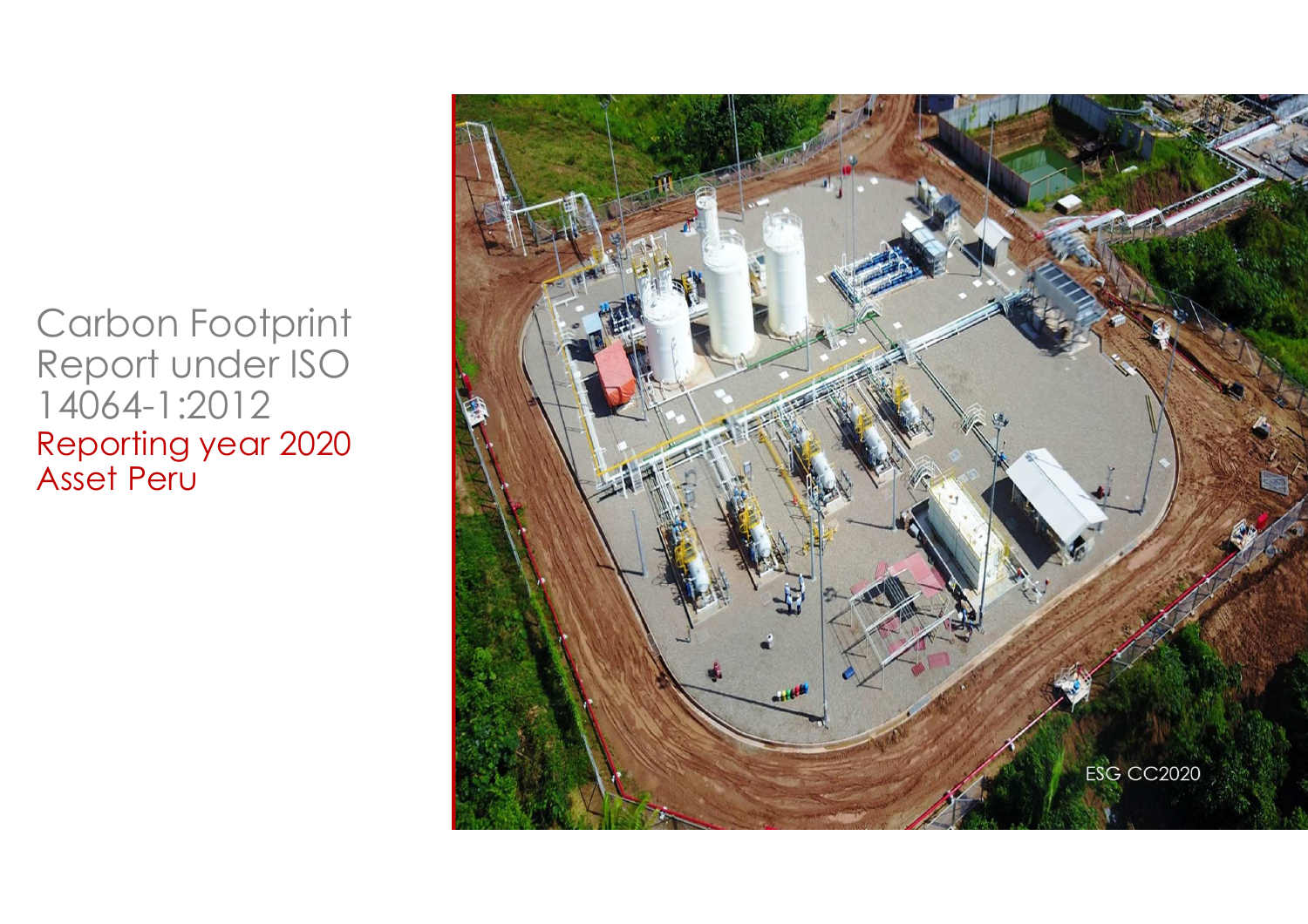Carbon Footprint Report under ISO 14064-1:2012 Reporting year 2020 Asset Peru